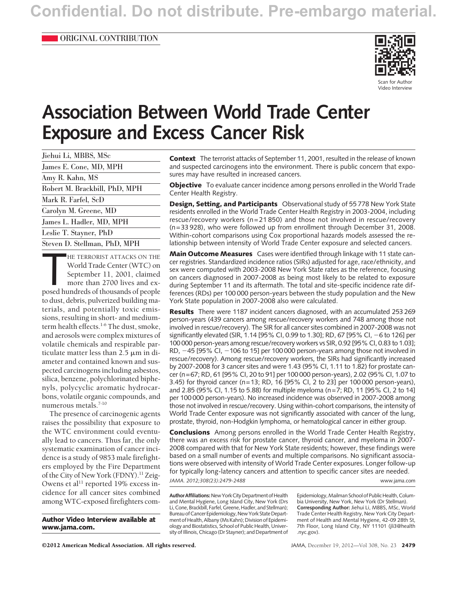## ORIGINAL CONTRIBUTION



Scan for Autho Video Interview

# **Association Between World Trade Center Exposure and Excess Cancer Risk**

| Jiehui Li, MBBS, MSc          |
|-------------------------------|
| James E. Cone, MD, MPH        |
| Amy R. Kahn, MS               |
| Robert M. Brackbill, PhD, MPH |
| Mark R. Farfel, ScD           |
| Carolyn M. Greene, MD         |
| James L. Hadler, MD, MPH      |
| Leslie T. Stayner, PhD        |
| Steven D. Stellman, PhD, MPH  |
|                               |

HE TERRORIST ATTACKS ON THE World Trade Center (WTC) on September 11, 2001, claimed more than 2700 lives and exposed hundreds of thousands of people HE TERRORIST ATTACKS ON THE World Trade Center (WTC) on September 11, 2001, claimed more than 2700 lives and exto dust, debris, pulverized building materials, and potentially toxic emissions, resulting in short- and mediumterm health effects.<sup>1-6</sup> The dust, smoke, and aerosols were complex mixtures of volatile chemicals and respirable particulate matter less than 2.5  $\mu$ m in diameter and contained known and suspected carcinogens including asbestos, silica, benzene, polychlorinated biphenyls, polycyclic aromatic hydrocarbons, volatile organic compounds, and numerous metals.7-10

The presence of carcinogenic agents raises the possibility that exposure to the WTC environment could eventually lead to cancers. Thus far, the only systematic examination of cancer incidence is a study of 9853 male firefighters employed by the Fire Department of the City of New York (FDNY).<sup>11</sup> Zeig-Owens et al<sup>11</sup> reported 19% excess incidence for all cancer sites combined among WTC-exposed firefighters com-

**Author Video Interview available at www.jama.com.**

**Context** The terrorist attacks of September 11, 2001, resulted in the release of known and suspected carcinogens into the environment. There is public concern that exposures may have resulted in increased cancers.

**Objective** To evaluate cancer incidence among persons enrolled in the World Trade Center Health Registry.

**Design, Setting, and Participants** Observational study of 55 778 New York State residents enrolled in the World Trade Center Health Registry in 2003-2004, including rescue/recovery workers (n=21 850) and those not involved in rescue/recovery (n=33 928), who were followed up from enrollment through December 31, 2008. Within-cohort comparisons using Cox proportional hazards models assessed the relationship between intensity of World Trade Center exposure and selected cancers.

**Main Outcome Measures** Cases were identified through linkage with 11 state cancer registries. Standardized incidence ratios (SIRs) adjusted for age, race/ethnicity, and sex were computed with 2003-2008 New York State rates as the reference, focusing on cancers diagnosed in 2007-2008 as being most likely to be related to exposure during September 11 and its aftermath. The total and site-specific incidence rate differences (RDs) per 100 000 person-years between the study population and the New York State population in 2007-2008 also were calculated.

**Results** There were 1187 incident cancers diagnosed, with an accumulated 253 269 person-years (439 cancers among rescue/recovery workers and 748 among those not involved in rescue/recovery). The SIR for all cancer sites combined in 2007-2008 was not significantly elevated (SIR, 1.14 [95% CI, 0.99 to 1.30]; RD, 67 [95% CI,  $-6$  to 126] per 100 000 person-years among rescue/recovery workers vs SIR, 0.92 [95% CI, 0.83 to 1.03];  $RD$ ,  $-45$  [95% CI,  $-106$  to 15] per 100 000 person-years among those not involved in rescue/recovery). Among rescue/recovery workers, the SIRs had significantly increased by 2007-2008 for 3 cancer sites and were 1.43 (95% CI, 1.11 to 1.82) for prostate cancer (n=67; RD, 61 [95% CI, 20 to 91] per 100 000 person-years), 2.02 (95% CI, 1.07 to 3.45) for thyroid cancer (n=13; RD, 16 [95% CI, 2 to 23] per 100 000 person-years), and 2.85 (95% CI, 1.15 to 5.88) for multiple myeloma (n=7; RD, 11 [95% CI, 2 to 14] per 100 000 person-years). No increased incidence was observed in 2007-2008 among those not involved in rescue/recovery. Using within-cohort comparisons, the intensity of World Trade Center exposure was not significantly associated with cancer of the lung, prostate, thyroid, non-Hodgkin lymphoma, or hematological cancer in either group.

**Conclusions** Among persons enrolled in the World Trade Center Health Registry, there was an excess risk for prostate cancer, thyroid cancer, and myeloma in 2007- 2008 compared with that for New York State residents; however, these findings were based on a small number of events and multiple comparisons. No significant associations were observed with intensity of World Trade Center exposures. Longer follow-up for typically long-latency cancers and attention to specific cancer sites are needed. *JAMA. 2012;308(23):2479-2488* www.jama.com

Author Affiliations: New York City Department of Health and Mental Hygiene, Long Island City, New York (Drs Li,Cone, Brackbill, Farfel, Greene, Hadler, and Stellman); Bureau of Cancer Epidemiology, New York State Department of Health, Albany (Ms Kahn); Division of Epidemiology and Biostatistics, School of Public Health, University of Illinois, Chicago (Dr Stayner); and Department of Epidemiology, Mailman School of Public Health, Columbia University, New York, New York (Dr Stellman). **Corresponding Author:** Jiehui Li, MBBS, MSc, World Trade Center Health Registry, New York City Department of Health and Mental Hygiene, 42-09 28th St, 7th Floor, Long Island City, NY 11101 (jli3@health .nyc.gov).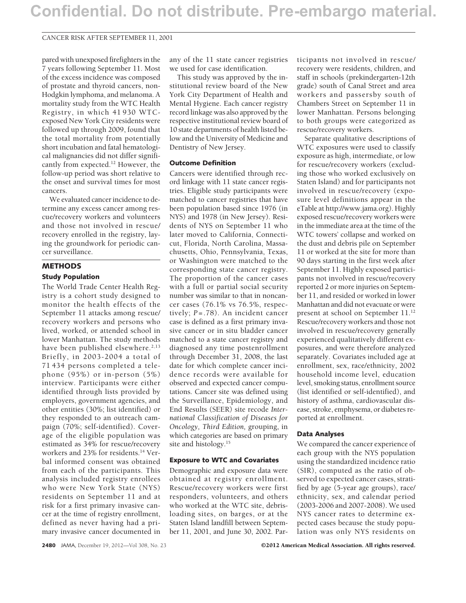pared with unexposed firefighters in the 7 years following September 11. Most of the excess incidence was composed of prostate and thyroid cancers, non-Hodgkin lymphoma, and melanoma. A mortality study from the WTC Health Registry, in which 41 930 WTCexposed New York City residents were followed up through 2009, found that the total mortality from potentially short incubation and fatal hematological malignancies did not differ significantly from expected.<sup>12</sup> However, the follow-up period was short relative to the onset and survival times for most cancers.

We evaluated cancer incidence to determine any excess cancer among rescue/recovery workers and volunteers and those not involved in rescue/ recovery enrolled in the registry, laying the groundwork for periodic cancer surveillance.

# **METHODS Study Population**

The World Trade Center Health Registry is a cohort study designed to monitor the health effects of the September 11 attacks among rescue/ recovery workers and persons who lived, worked, or attended school in lower Manhattan. The study methods have been published elsewhere.<sup>2,13</sup> Briefly, in 2003-2004 a total of 71 434 persons completed a telephone (95%) or in-person (5%) interview. Participants were either identified through lists provided by employers, government agencies, and other entities (30%; list identified) or they responded to an outreach campaign (70%; self-identified). Coverage of the eligible population was estimated as 34% for rescue/recovery workers and 23% for residents.<sup>14</sup> Verbal informed consent was obtained from each of the participants. This analysis included registry enrollees who were New York State (NYS) residents on September 11 and at risk for a first primary invasive cancer at the time of registry enrollment, defined as never having had a primary invasive cancer documented in

any of the 11 state cancer registries we used for case identification.

This study was approved by the institutional review board of the New York City Department of Health and Mental Hygiene. Each cancer registry record linkage was also approved by the respective institutional review board of 10 state departments of health listed below and the University of Medicine and Dentistry of New Jersey.

#### **Outcome Definition**

Cancers were identified through record linkage with 11 state cancer registries. Eligible study participants were matched to cancer registries that have been population based since 1976 (in NYS) and 1978 (in New Jersey). Residents of NYS on September 11 who later moved to California, Connecticut, Florida, North Carolina, Massachusetts, Ohio, Pennsylvania, Texas, or Washington were matched to the corresponding state cancer registry. The proportion of the cancer cases with a full or partial social security number was similar to that in noncancer cases (76.1% vs 76.5%, respectively; *P* =.78). An incident cancer case is defined as a first primary invasive cancer or in situ bladder cancer matched to a state cancer registry and diagnosed any time postenrollment through December 31, 2008, the last date for which complete cancer incidence records were available for observed and expected cancer computations. Cancer site was defined using the Surveillance, Epidemiology, and End Results (SEER) site recode *International Classification of Diseases for Oncology, Third Edition,* grouping, in which categories are based on primary site and histology.15

#### **Exposure to WTC and Covariates**

Demographic and exposure data were obtained at registry enrollment. Rescue/recovery workers were first responders, volunteers, and others who worked at the WTC site, debrisloading sites, on barges, or at the Staten Island landfill between September 11, 2001, and June 30, 2002. Par-

ticipants not involved in rescue/ recovery were residents, children, and staff in schools (prekindergarten-12th grade) south of Canal Street and area workers and passersby south of Chambers Street on September 11 in lower Manhattan. Persons belonging to both groups were categorized as rescue/recovery workers.

Separate qualitative descriptions of WTC exposures were used to classify exposure as high, intermediate, or low for rescue/recovery workers (excluding those who worked exclusively on Staten Island) and for participants not involved in rescue/recovery (exposure level definitions appear in the eTable at http://www.jama.org). Highly exposed rescue/recovery workers were in the immediate area at the time of the WTC towers' collapse and worked on the dust and debris pile on September 11 or worked at the site for more than 90 days starting in the first week after September 11. Highly exposed participants not involved in rescue/recovery reported 2 or more injuries on September 11, and resided or worked in lower Manhattan and did not evacuate or were present at school on September 11.12 Rescue/recovery workers and those not involved in rescue/recovery generally experienced qualitatively different exposures, and were therefore analyzed separately. Covariates included age at enrollment, sex, race/ethnicity, 2002 household income level, education level, smoking status, enrollment source (list identified or self-identified), and history of asthma, cardiovascular disease, stroke, emphysema, or diabetes reported at enrollment.

#### **Data Analyses**

We compared the cancer experience of each group with the NYS population using the standardized incidence ratio (SIR), computed as the ratio of observed to expected cancer cases, stratified by age (5-year age groups), race/ ethnicity, sex, and calendar period (2003-2006 and 2007-2008). We used NYS cancer rates to determine expected cases because the study population was only NYS residents on

**2480** JAMA, December 19, 2012—Vol 308, No. 23 ©2012 American Medical Association. All rights reserved.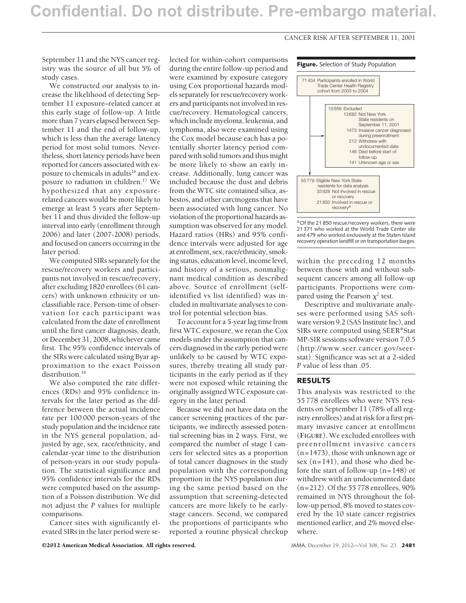September 11 and the NYS cancer registry was the source of all but 5% of study cases.

We constructed our analysis to increase the likelihood of detecting September 11 exposure–related cancer at this early stage of follow-up. A little more than 7 years elapsed between September 11 and the end of follow-up, which is less than the average latency period for most solid tumors. Nevertheless, short latency periods have been reported for cancers associated with exposure to chemicals in adults<sup>16</sup> and exposure to radiation in children.17 We hypothesized that any exposurerelated cancers would be more likely to emerge at least 5 years after September 11 and thus divided the follow-up interval into early (enrollment through 2006) and later (2007-2008) periods, and focused on cancers occurring in the later period.

We computed SIRs separately for the rescue/recovery workers and participants not involved in rescue/recovery, after excluding 1820 enrollees (61 cancers) with unknown ethnicity or unclassifiable race. Person-time of observation for each participant was calculated from the date of enrollment until the first cancer diagnosis, death, or December 31, 2008, whichever came first. The 95% confidence intervals of the SIRs were calculated using Byar approximation to the exact Poisson distribution.<sup>18</sup>

We also computed the rate differences (RDs) and 95% confidence intervals for the later period as the difference between the actual incidence rate per 100 000 person-years of the study population and the incidence rate in the NYS general population, adjusted by age, sex, race/ethnicity, and calendar-year time to the distribution of person-years in our study population. The statistical significance and 95% confidence intervals for the RDs were computed based on the assumption of a Poisson distribution. We did not adjust the *P* values for multiple comparisons.

Cancer sites with significantly elevated SIRs in the later period were se-

lected for within-cohort comparisons during the entire follow-up period and were examined by exposure category using Cox proportional hazards models separately for rescue/recovery workers and participants not involved in rescue/recovery. Hematological cancers, which include myeloma, leukemia, and lymphoma, also were examined using the Cox model because each has a potentially shorter latency period compared with solid tumors and thus might be more likely to show an early increase. Additionally, lung cancer was included because the dust and debris from the WTC site contained silica, asbestos, and other carcinogens that have been associated with lung cancer. No violation of the proportional hazards assumption was observed for any model. Hazard ratios (HRs) and 95% confidence intervals were adjusted for age at enrollment, sex, race/ethnicity, smoking status, education level, income level, and history of a serious, nonmalignant medical condition as described above. Source of enrollment (selfidentified vs list identified) was included in multivariate analyses to control for potential selection bias.

To account for a 5-year lag time from first WTC exposure, we reran the Cox models under the assumption that cancers diagnosed in the early period were unlikely to be caused by WTC exposures, thereby treating all study participants in the early period as if they were not exposed while retaining the originally assigned WTC exposure category in the later period.

Because we did not have data on the cancer screening practices of the participants, we indirectly assessed potential screening bias in 2 ways. First, we compared the number of stage I cancers for selected sites as a proportion of total cancer diagnoses in the study population with the corresponding proportion in the NYS population during the same period based on the assumption that screening-detected cancers are more likely to be earlystage cancers. Second, we compared the proportions of participants who reported a routine physical checkup

CANCER RISK AFTER SEPTEMBER 11, 2001



<sup>a</sup>Of the 21 850 rescue/recovery workers, there were<br>21 371 who worked at the World Trade Center site and 479 who worked exclusively at the Staten Island recovery operation landfill or on transportation barges.

within the preceding 12 months between those with and without subsequent cancers among all follow-up participants. Proportions were compared using the Pearson  $\chi^2$  test.

Descriptive and multivariate analyses were performed using SAS software version 9.2 (SAS Institute Inc), and SIRs were computed using SEER\*Stat MP-SIR sessions software version 7.0.5 (http://www.seer.cancer.gov/seerstat). Significance was set at a 2-sided *P* value of less than .05.

#### **RESULTS**

This analysis was restricted to the 55 778 enrollees who were NYS residents on September 11 (78% of all registry enrollees) and at risk for a first primary invasive cancer at enrollment (**FIGURE**). We excluded enrollees with preenrollment invasive cancers (n=1473), those with unknown age or sex (n=141), and those who died before the start of follow-up  $(n=148)$  or withdrew with an undocumented date (n=212). Of the 55 778 enrollees, 90% remained in NYS throughout the follow-up period, 8% moved to states covered by the 10 state cancer registries mentioned earlier, and 2% moved elsewhere.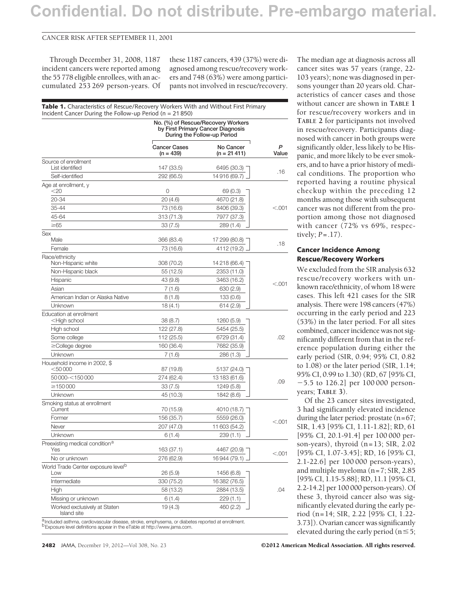Through December 31, 2008, 1187 incident cancers were reported among the 55 778 eligible enrollees, with an accumulated 253 269 person-years. Of

these 1187 cancers, 439 (37%) were diagnosed among rescue/recovery workers and 748 (63%) were among participants not involved in rescue/recovery.

|                                                             |  | <b>Table 1.</b> Characteristics of Rescue/Recovery Workers With and Without First Primary |  |
|-------------------------------------------------------------|--|-------------------------------------------------------------------------------------------|--|
| Incident Cancer During the Follow-up Period ( $n = 21850$ ) |  |                                                                                           |  |

|                                                                                                                                                                                           | No. (%) of Rescue/Recovery Workers<br>by First Primary Cancer Diagnosis<br>During the Follow-up Period |                             |            |
|-------------------------------------------------------------------------------------------------------------------------------------------------------------------------------------------|--------------------------------------------------------------------------------------------------------|-----------------------------|------------|
|                                                                                                                                                                                           | <b>Cancer Cases</b><br>$(n = 439)$                                                                     | No Cancer<br>$(n = 21 411)$ | P<br>Value |
| Source of enrollment<br>List identified                                                                                                                                                   | 147 (33.5)                                                                                             | 6495 (30.3)                 | .16        |
| Self-identified                                                                                                                                                                           | 292 (66.5)                                                                                             | 14916 (69.7)                |            |
| Age at enrollment, y<br>$<$ 20                                                                                                                                                            | 0                                                                                                      | 69 (0.3)                    |            |
| 20-34                                                                                                                                                                                     | 20(4.6)                                                                                                | 4670 (21.8)                 |            |
| 35-44                                                                                                                                                                                     | 73 (16.6)                                                                                              | 8406 (39.3)                 | < 0.001    |
| 45-64                                                                                                                                                                                     | 313 (71.3)                                                                                             | 7977 (37.3)                 |            |
| $\geq 65$                                                                                                                                                                                 | 33(7.5)                                                                                                | 289 (1.4)                   |            |
| <b>Sex</b><br>Male                                                                                                                                                                        | 366 (83.4)                                                                                             | 17 299 (80.8)               |            |
| Female                                                                                                                                                                                    | 73 (16.6)                                                                                              | 4112 (19.2)                 | .18        |
| Race/ethnicity<br>Non-Hispanic white                                                                                                                                                      | 308 (70.2)                                                                                             | 14 218 (66.4)               |            |
| Non-Hispanic black                                                                                                                                                                        | 55 (12.5)                                                                                              | 2353 (11.0)                 |            |
| Hispanic                                                                                                                                                                                  | 43 (9.8)                                                                                               | 3463 (16.2)                 |            |
| Asian                                                                                                                                                                                     | 7 (1.6)                                                                                                | 630 (2.9)                   | < 0.001    |
| American Indian or Alaska Native                                                                                                                                                          | 8(1.8)                                                                                                 | 133 (0.6)                   |            |
| Unknown                                                                                                                                                                                   | 18(4.1)                                                                                                | 614 (2.9)                   |            |
| Education at enrollment<br><high school<="" td=""><td>38(8.7)</td><td>1260 (5.9)</td><td></td></high>                                                                                     | 38(8.7)                                                                                                | 1260 (5.9)                  |            |
| High school                                                                                                                                                                               | 122 (27.8)                                                                                             | 5454 (25.5)                 |            |
| Some college                                                                                                                                                                              | 112 (25.5)                                                                                             | 6729 (31.4)                 | .02        |
| ≥College degree                                                                                                                                                                           | 160 (36.4)                                                                                             | 7682 (35.9)                 |            |
| Unknown                                                                                                                                                                                   | 7(1.6)                                                                                                 | 286 (1.3)                   |            |
| Household income in 2002, \$<br>$<$ 50 000                                                                                                                                                | 87 (19.8)                                                                                              | 5137 (24.0)                 |            |
| 50 000-<150 000                                                                                                                                                                           | 274 (62.4)                                                                                             | 13 183 (61.6)               | .09        |
| $\geq$ 150000                                                                                                                                                                             | 33(7.5)                                                                                                | 1249 (5.8)                  |            |
| Unknown                                                                                                                                                                                   | 45 (10.3)                                                                                              | 1842 (8.6)                  |            |
| Smoking status at enrollment<br>Current                                                                                                                                                   | 70 (15.9)                                                                                              | 4010 (18.7)                 |            |
| Former                                                                                                                                                                                    | 156 (35.7)                                                                                             | 5559 (26.0)                 | < 0.001    |
| Never                                                                                                                                                                                     | 207 (47.0)                                                                                             | 11 603 (54.2)               |            |
| Unknown                                                                                                                                                                                   | 6 (1.4)                                                                                                | 239 (1.1)                   |            |
| Preexisting medical condition <sup>a</sup><br>Yes                                                                                                                                         | 163 (37.1)                                                                                             | 4467 (20.9) -               | < 0.001    |
| No or unknown                                                                                                                                                                             | 276 (62.9)                                                                                             | 16944 (79.1)                |            |
| World Trade Center exposure level <sup>b</sup><br>Low                                                                                                                                     | 26 (5.9)                                                                                               | 1456 (6.8)                  |            |
| Intermediate                                                                                                                                                                              | 330 (75.2)                                                                                             | 16382 (76.5)                |            |
| High                                                                                                                                                                                      | 58 (13.2)                                                                                              | 2884 (13.5)                 | .04        |
| Missing or unknown                                                                                                                                                                        | 6(1.4)                                                                                                 | 229(1.1)                    |            |
| Worked exclusively at Staten<br><b>Island</b> site                                                                                                                                        | 19 (4.3)                                                                                               | 460 (2.2)                   |            |
| a included asthma, cardiovascular disease, stroke, emphysema, or diabetes reported at enrollment.<br><sup>b</sup> Exposure level definitions appear in the eTable at http://www.jama.com. |                                                                                                        |                             |            |

The median age at diagnosis across all cancer sites was 57 years (range, 22- 103 years); none was diagnosed in persons younger than 20 years old. Characteristics of cancer cases and those without cancer are shown in **TABLE 1** for rescue/recovery workers and in **TABLE 2** for participants not involved in rescue/recovery. Participants diagnosed with cancer in both groups were significantly older, less likely to be Hispanic, and more likely to be ever smokers, and to have a prior history of medical conditions. The proportion who reported having a routine physical checkup within the preceding 12 months among those with subsequent cancer was not different from the proportion among those not diagnosed with cancer (72% vs 69%, respectively; *P*=.17).

#### **Cancer Incidence Among Rescue/Recovery Workers**

We excluded from the SIR analysis 632 rescue/recovery workers with unknown race/ethnicity, of whom 18 were cases. This left 421 cases for the SIR analysis. There were 198 cancers (47%) occurring in the early period and 223 (53%) in the later period. For all sites combined, cancer incidence was not significantly different from that in the reference population during either the early period (SIR, 0.94; 95% CI, 0.82 to 1.08) or the later period (SIR, 1.14; 95% CI, 0.99 to 1.30) (RD, 67 [95% CI, 5.5 to 126.2] per 100 000 personyears; **TABLE 3**).

Of the 23 cancer sites investigated, 3 had significantly elevated incidence during the later period: prostate  $(n=67;$ SIR, 1.43 [95% CI, 1.11-1.82]; RD, 61 [95% CI, 20.1-91.4] per 100 000 person-years), thyroid (n=13; SIR, 2.02 [95% CI, 1.07-3.45]; RD, 16 [95% CI, 2.1-22.6] per 100 000 person-years), and multiple myeloma (n=7; SIR, 2.85 [95% CI, 1.15-5.88]; RD, 11.1 [95% CI, 2.2-14.2] per 100 000 person-years). Of these 3, thyroid cancer also was significantly elevated during the early period (n=14; SIR, 2.22 [95% CI, 1.22- 3.73]). Ovarian cancer was significantly elevated during the early period ( $n \leq 5$ ;

**2482** JAMA, December 19, 2012—Vol 308, No. 23 ©2012 American Medical Association. All rights reserved.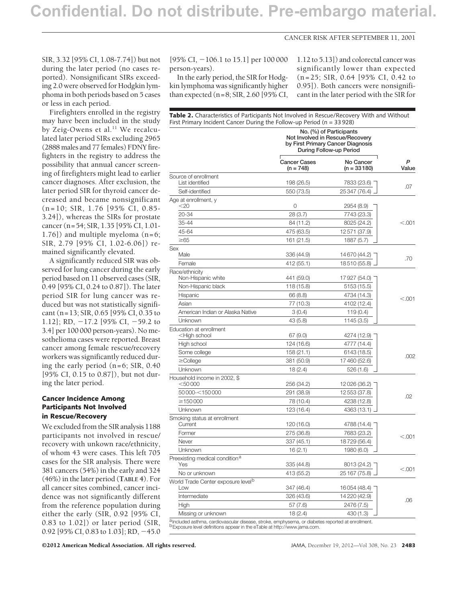SIR, 3.32 [95% CI, 1.08-7.74]) but not during the later period (no cases reported). Nonsignificant SIRs exceeding 2.0 were observed for Hodgkin lymphoma in both periods based on 5 cases or less in each period.

Firefighters enrolled in the registry may have been included in the study by Zeig-Owens et al.<sup>11</sup> We recalculated later period SIRs excluding 2965 (2888 males and 77 females) FDNY firefighters in the registry to address the possibility that annual cancer screening of firefighters might lead to earlier cancer diagnoses. After exclusion, the later period SIR for thyroid cancer decreased and became nonsignificant (n=10; SIR, 1.76 [95% CI, 0.85- 3.24]), whereas the SIRs for prostate cancer (n=54; SIR, 1.35 [95% CI, 1.01- 1.76]) and multiple myeloma (n=6; SIR, 2.79 [95% CI, 1.02-6.06]) remained significantly elevated.

A significantly reduced SIR was observed for lung cancer during the early period based on 11 observed cases (SIR, 0.49 [95% CI, 0.24 to 0.87]). The later period SIR for lung cancer was reduced but was not statistically significant (n=13; SIR, 0.65 [95% CI, 0.35 to 1.12]; RD,  $-17.2$  [95% CI,  $-59.2$  to 3.4] per 100 000 person-years). No mesothelioma cases were reported. Breast cancer among female rescue/recovery workers was significantly reduced during the early period  $(n=6; SIR, 0.40)$ [95% CI, 0.15 to 0.87]), but not during the later period.

#### **Cancer Incidence Among Participants Not Involved in Rescue/Recovery**

We excluded from the SIR analysis 1188 participants not involved in rescue/ recovery with unkown race/ethnicity, of whom 43 were cases. This left 705 cases for the SIR analysis. There were 381 cancers (54%) in the early and 324 (46%) in the later period (**TABLE 4**). For all cancer sites combined, cancer incidence was not significantly different from the reference population during either the early (SIR, 0.92 [95% CI, 0.83 to 1.02]) or later period (SIR, 0.92 [95% CI, 0.83 to 1.03]; RD,  $-45.0$ 

 $[95\% \text{ CI}, -106.1 \text{ to } 15.1]$  per 100 000 person-years).

In the early period, the SIR for Hodgkin lymphoma was significantly higher than expected (n=8; SIR, 2.60 [95% CI, 1.12 to 5.13]) and colorectal cancer was significantly lower than expected (n=25; SIR, 0.64 [95% CI, 0.42 to 0.95]). Both cancers were nonsignificant in the later period with the SIR for

CANCER RISK AFTER SEPTEMBER 11, 2001

|  | <b>Table 2.</b> Characteristics of Participants Not Involved in Rescue/Recovery With and Without |  |  |
|--|--------------------------------------------------------------------------------------------------|--|--|
|  | First Primary Incident Cancer During the Follow-up Period ( $n = 33928$ )                        |  |  |

|                                                                                                   |                                    | No. (%) of Participants<br>Not Involved in Rescue/Recovery<br>by First Primary Cancer Diagnosis<br>During Follow-up Period |            |  |  |
|---------------------------------------------------------------------------------------------------|------------------------------------|----------------------------------------------------------------------------------------------------------------------------|------------|--|--|
|                                                                                                   | <b>Cancer Cases</b><br>$(n = 748)$ | No Cancer<br>$(n = 33180)$                                                                                                 | P<br>Value |  |  |
| Source of enrollment                                                                              |                                    |                                                                                                                            |            |  |  |
| List identified<br>Self-identified                                                                | 198 (26.5)<br>550 (73.5)           | 7833 (23.6)<br>25 347 (76.4)                                                                                               | .07        |  |  |
| Age at enrollment, y                                                                              |                                    |                                                                                                                            |            |  |  |
| $<$ 20                                                                                            | 0                                  | 2954 (8.9)                                                                                                                 |            |  |  |
| 20-34                                                                                             | 28 (3.7)                           | 7743 (23.3)                                                                                                                |            |  |  |
| 35-44                                                                                             | 84 (11.2)                          | 8025 (24.2)                                                                                                                | < 0.001    |  |  |
| 45-64                                                                                             | 475 (63.5)                         | 12571 (37.9)                                                                                                               |            |  |  |
| $\geq 65$                                                                                         | 161 (21.5)                         | 1887 (5.7)                                                                                                                 |            |  |  |
| Sex                                                                                               |                                    |                                                                                                                            |            |  |  |
| Male                                                                                              | 336 (44.9)                         | 14 670 (44.2)                                                                                                              | .70        |  |  |
| Female                                                                                            | 412 (55.1)                         | 18510 (55.8)                                                                                                               |            |  |  |
| Race/ethnicity<br>Non-Hispanic white                                                              | 441 (59.0)                         | 17 927 (54.0)                                                                                                              |            |  |  |
| Non-Hispanic black                                                                                | 118 (15.8)                         | 5153 (15.5)                                                                                                                |            |  |  |
| Hispanic                                                                                          | 66 (8.8)                           | 4734 (14.3)                                                                                                                |            |  |  |
| Asian                                                                                             | 77 (10.3)                          | 4102 (12.4)                                                                                                                | < 0.001    |  |  |
| American Indian or Alaska Native                                                                  | 3(0.4)                             | 119 (0.4)                                                                                                                  |            |  |  |
| Unknown                                                                                           | 43 (5.8)                           | 1145 (3.5)                                                                                                                 |            |  |  |
| Education at enrollment                                                                           |                                    |                                                                                                                            |            |  |  |
| <high school<="" td=""><td>67 (9.0)</td><td>4274 (12.9)</td><td></td></high>                      | 67 (9.0)                           | 4274 (12.9)                                                                                                                |            |  |  |
| High school                                                                                       | 124 (16.6)                         | 4777 (14.4)                                                                                                                |            |  |  |
| Some college                                                                                      | 158(21.1)                          | 6143 (18.5)                                                                                                                |            |  |  |
| $\geq$ College                                                                                    | 381 (50.9)                         | 17460 (52.6)                                                                                                               | .002       |  |  |
| Unknown                                                                                           | 18(2.4)                            | 526(1.6)                                                                                                                   |            |  |  |
| Household income in 2002, \$<br>$<$ 50000                                                         | 256 (34.2)                         | 12 026 (36.2)                                                                                                              |            |  |  |
| 50 000-<150 000                                                                                   | 291 (38.9)                         | 12 553 (37.8)                                                                                                              |            |  |  |
| ≥150000                                                                                           | 78 (10.4)                          | 4238 (12.8)                                                                                                                | .02        |  |  |
| Unknown                                                                                           | 123 (16.4)                         | 4363 (13.1)                                                                                                                |            |  |  |
| Smoking status at enrollment                                                                      |                                    |                                                                                                                            |            |  |  |
| Current                                                                                           | 120 (16.0)                         | 4788 (14.4)                                                                                                                |            |  |  |
| Former                                                                                            | 275 (36.8)                         | 7683 (23.2)                                                                                                                | < .001     |  |  |
| Never                                                                                             | 337 (45.1)                         | 18729 (56.4)                                                                                                               |            |  |  |
| Unknown                                                                                           | 16(2.1)                            | 1980 (6.0)                                                                                                                 |            |  |  |
| Preexisting medical condition <sup>a</sup>                                                        |                                    |                                                                                                                            |            |  |  |
| Yes                                                                                               | 335 (44.8)                         | 8013 (24.2) 7                                                                                                              | < 0.001    |  |  |
| No or unknown                                                                                     | 413 (55.2)                         | 25 167 (75.8)                                                                                                              |            |  |  |
| World Trade Center exposure level <sup>b</sup><br>Low                                             | 347 (46.4)                         | 16054 (48.4)                                                                                                               |            |  |  |
| Intermediate                                                                                      | 326 (43.6)                         | 14 220 (42.9)                                                                                                              |            |  |  |
| High                                                                                              | 57(7.6)                            | 2476 (7.5)                                                                                                                 | .06        |  |  |
| Missing or unknown                                                                                | 18(2.4)                            | 430 (1.3)                                                                                                                  |            |  |  |
| a Included asthma, cardiovascular disease, stroke, emphysema, or diabetes reported at enrollment. |                                    |                                                                                                                            |            |  |  |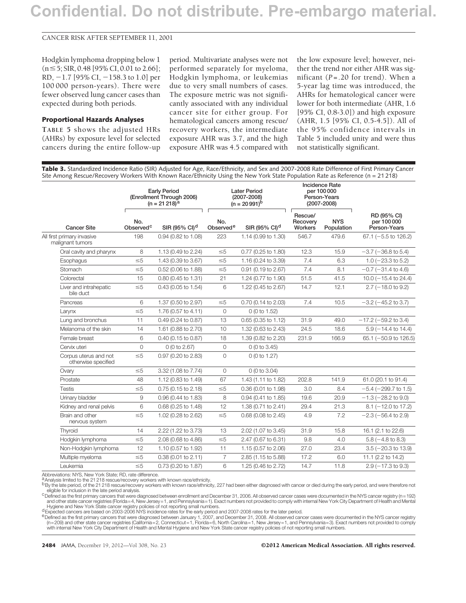Hodgkin lymphoma dropping below 1  $(n \leq 5; SIR, 0.48 [95\% CI, 0.01 to 2.66];$ RD,  $-1.7$  [95% CI,  $-158.3$  to 1.0] per 100 000 person-years). There were fewer observed lung cancer cases than expected during both periods.

#### **Proportional Hazards Analyses**

**TABLE 5** shows the adjusted HRs (AHRs) by exposure level for selected cancers during the entire follow-up

period. Multivariate analyses were not performed separately for myeloma, Hodgkin lymphoma, or leukemias due to very small numbers of cases. The exposure metric was not significantly associated with any individual cancer site for either group. For hematological cancers among rescue/ recovery workers, the intermediate exposure AHR was 3.7, and the high exposure AHR was 4.5 compared with the low exposure level; however, neither the trend nor either AHR was significant (*P*=.20 for trend). When a 5-year lag time was introduced, the AHRs for hematological cancer were lower for both intermediate (AHR, 1.6 [95% CI, 0.8-3.0]) and high exposure (AHR, 1.5 [95% CI, 0.5-4.5]). All of the 95% confidence intervals in Table 5 included unity and were thus not statistically significant.

**Table 3.** Standardized Incidence Ratio (SIR) Adjusted for Age, Race/Ethnicity, and Sex and 2007-2008 Rate Difference of First Primary Cancer Site Among Rescue/Recovery Workers With Known Race/Ethnicity Using the New York State Population Rate as Reference (n = 21 218)

|                                                | <b>Early Period</b><br>(Enrollment Through 2006)<br>$(n = 21218)^a$ |                           | <b>Later Period</b><br>$(2007 - 2008)$<br>$(n = 20991)^{b}$ |                           | <b>Incidence Rate</b><br>per 100 000<br>Person-Years<br>$(2007 - 2008)$ |                          |                                            |
|------------------------------------------------|---------------------------------------------------------------------|---------------------------|-------------------------------------------------------------|---------------------------|-------------------------------------------------------------------------|--------------------------|--------------------------------------------|
| <b>Cancer Site</b>                             | No.<br>Observed <sup>c</sup>                                        | SIR (95% CI) <sup>d</sup> | No.<br>Observed <sup>e</sup>                                | SIR (95% CI) <sup>d</sup> | Rescue/<br>Recovery<br>Workers                                          | <b>NYS</b><br>Population | RD (95% CI)<br>per 100 000<br>Person-Years |
| All first primary invasive<br>malignant tumors | 198                                                                 | 0.94 (0.82 to 1.08)       | 223                                                         | 1.14 (0.99 to 1.30)       | 546.7                                                                   | 479.6                    | 67.1 ( $-5.5$ to 126.2)                    |
| Oral cavity and pharynx                        | 8                                                                   | 1.13 (0.49 to 2.24)       | $\leq 5$                                                    | 0.77 (0.25 to 1.80)       | 12.3                                                                    | 15.9                     | $-3.7$ ( $-36.8$ to 5.4)                   |
| Esophagus                                      | $\leq 5$                                                            | 1.43 (0.39 to 3.67)       | $\leq 5$                                                    | 1.16 (0.24 to 3.39)       | 7.4                                                                     | 6.3                      | $1.0 (-23.3 to 5.2)$                       |
| Stomach                                        | $\leq 5$                                                            | 0.52 (0.06 to 1.88)       | $\leq 5$                                                    | 0.91 (0.19 to 2.67)       | 7.4                                                                     | 8.1                      | $-0.7$ ( $-31.4$ to 4.6)                   |
| Colorectal                                     | 15                                                                  | 0.80 (0.45 to 1.31)       | 21                                                          | 1.24 (0.77 to 1.90)       | 51.5                                                                    | 41.5                     | $10.0$ (-15.4 to 24.4)                     |
| Liver and intrahepatic<br>bile duct            | $\leq 5$                                                            | 0.43 (0.05 to 1.54)       | 6                                                           | 1.22 (0.45 to 2.67)       | 14.7                                                                    | 12.1                     | $2.7$ (-18.0 to 9.2)                       |
| Pancreas                                       | 6                                                                   | 1.37 (0.50 to 2.97)       | $\leq 5$                                                    | 0.70 (0.14 to 2.03)       | 7.4                                                                     | 10.5                     | $-3.2$ ( $-45.2$ to 3.7)                   |
| Larynx                                         | $\leq 5$                                                            | 1.76 (0.57 to 4.11)       | $\mathbf{0}$                                                | 0 (0 to 1.52)             |                                                                         |                          |                                            |
| Lung and bronchus                              | 11                                                                  | 0.49 (0.24 to 0.87)       | 13                                                          | 0.65 (0.35 to 1.12)       | 31.9                                                                    | 49.0                     | $-17.2$ (-59.2 to 3.4)                     |
| Melanoma of the skin                           | 14                                                                  | 1.61 (0.88 to 2.70)       | 10                                                          | 1.32 (0.63 to 2.43)       | 24.5                                                                    | 18.6                     | $5.9(-14.4 \text{ to } 14.4)$              |
| Female breast                                  | 6                                                                   | 0.40 (0.15 to 0.87)       | 18                                                          | 1.39 (0.82 to 2.20)       | 231.9                                                                   | 166.9                    | 65.1 (-50.9 to 126.5)                      |
| Cervix uteri                                   | 0                                                                   | 0 (0 to 2.67)             | $\circ$                                                     | 0(0 to 3.45)              |                                                                         |                          |                                            |
| Corpus uterus and not<br>otherwise specified   | $\leq 5$                                                            | 0.97 (0.20 to 2.83)       | $\circ$                                                     | 0 (0 to 1.27)             |                                                                         |                          |                                            |
| Ovary                                          | $\leq 5$                                                            | 3.32 (1.08 to 7.74)       | $\circ$                                                     | 0(0 to 3.04)              |                                                                         |                          |                                            |
| Prostate                                       | 48                                                                  | 1.12 (0.83 to 1.49)       | 67                                                          | 1.43 (1.11 to 1.82)       | 202.8                                                                   | 141.9                    | 61.0 (20.1 to 91.4)                        |
| <b>Testis</b>                                  | $\leq 5$                                                            | 0.75 (0.15 to 2.18)       | $\leq 5$                                                    | 0.36 (0.01 to 1.98)       | 3.0                                                                     | 8.4                      | $-5.4$ ( $-299.7$ to 1.5)                  |
| Urinary bladder                                | 9                                                                   | 0.96 (0.44 to 1.83)       | 8                                                           | 0.94 (0.41 to 1.85)       | 19.6                                                                    | 20.9                     | $-1.3$ ( $-28.2$ to 9.0)                   |
| Kidney and renal pelvis                        | 6                                                                   | 0.68 (0.25 to 1.48)       | 12                                                          | 1.38 (0.71 to 2.41)       | 29.4                                                                    | 21.3                     | $8.1$ (-12.0 to 17.2)                      |
| Brain and other<br>nervous system              | $\leq 5$                                                            | 1.02 (0.28 to 2.62)       | $\leq 5$                                                    | 0.68 (0.08 to 2.45)       | 4.9                                                                     | 7.2                      | $-2.3$ ( $-56.4$ to 2.9)                   |
| Thyroid                                        | 14                                                                  | 2.22 (1.22 to 3.73)       | 13                                                          | 2.02 (1.07 to 3.45)       | 31.9                                                                    | 15.8                     | 16.1 (2.1 to 22.6)                         |
| Hodgkin lymphoma                               | $\leq 5$                                                            | 2.08 (0.68 to 4.86)       | $\leq 5$                                                    | 2.47 (0.67 to 6.31)       | 9.8                                                                     | 4.0                      | $5.8(-4.8 \text{ to } 8.3)$                |
| Non-Hodgkin lymphoma                           | 12                                                                  | 1.10 (0.57 to 1.92)       | 11                                                          | 1.15 (0.57 to 2.06)       | 27.0                                                                    | 23.4                     | $3.5$ ( $-20.3$ to 13.9)                   |
| Multiple myeloma                               | $\leq 5$                                                            | 0.38 (0.01 to 2.11)       | $\overline{7}$                                              | 2.85 (1.15 to 5.88)       | 17.2                                                                    | 6.0                      | 11.1 (2.2 to 14.2)                         |
| Leukemia                                       | $\leq 5$                                                            | 0.73 (0.20 to 1.87)       | 6                                                           | 1.25 (0.46 to 2.72)       | 14.7                                                                    | 11.8                     | $2.9(-17.3 \text{ to } 9.3)$               |

Abbreviations: NYS, New York State; RD, rate difference.<br><sup>8</sup> Analysis limited to the 21 218 rescue/recovery workers with known race/ethnicity.<br><sup>D</sup> By the late period, of the 21 218 rescue/recovery workers with known race/e

eligible for inclusion in the late period analysis.<br><sup>c</sup> Defined as the first primary cancers that were diagnosed between enrollment and December 31, 2006. All observed cancer cases were documented in the NYS cancer registr

Hygiene and New York State cancer registry policies of not reporting small numbers.<br><sup>d</sup> Expected cancers are based on 2003-2006 NYS incidence rates for the early period and 2007-2008 rates for the later period.<br><sup>e</sup> Defined (n=209) and other state cancer registries (California=2, Connecticut=1, Florida=6, North Carolina=1, New Jersey=1, and Pennsylvania=3). Exact numbers not provided to comply with internal New York City Department of Health and Mental Hygiene and New York State cancer registry policies of not reporting small numbers.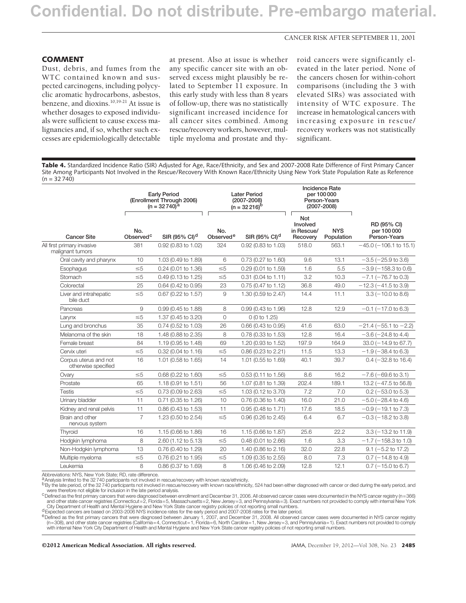### **COMMENT**

Dust, debris, and fumes from the WTC contained known and suspected carcinogens, including polycyclic aromatic hydrocarbons, asbestos, benzene, and dioxins.10,19-21 At issue is whether dosages to exposed individuals were sufficient to cause excess malignancies and, if so, whether such excesses are epidemiologically detectable at present. Also at issue is whether any specific cancer site with an observed excess might plausibly be related to September 11 exposure. In this early study with less than 8 years of follow-up, there was no statistically significant increased incidence for all cancer sites combined. Among rescue/recovery workers, however, multiple myeloma and prostate and thyroid cancers were significantly elevated in the later period. None of the cancers chosen for within-cohort comparisons (including the 3 with elevated SIRs) was associated with intensity of WTC exposure. The increase in hematological cancers with increasing exposure in rescue/ recovery workers was not statistically significant.

**Table 4.** Standardized Incidence Ratio (SIR) Adjusted for Age, Race/Ethnicity, and Sex and 2007-2008 Rate Difference of First Primary Cancer Site Among Participants Not Involved in the Rescue/Recovery With Known Race/Ethnicity Using New York State Population Rate as Reference  $(n = 32740)$ 

|                                                | <b>Early Period</b><br>(Enrollment Through 2006)<br>$(n = 32740)^a$ |                           | <b>Later Period</b><br>$(2007 - 2008)$<br>$(n = 32216)^{b}$ |                           | <b>Incidence Rate</b><br>per 100 000<br>Person-Years<br>$(2007 - 2008)$ |                          |                                            |
|------------------------------------------------|---------------------------------------------------------------------|---------------------------|-------------------------------------------------------------|---------------------------|-------------------------------------------------------------------------|--------------------------|--------------------------------------------|
| <b>Cancer Site</b>                             | No.<br>Observed <sup>c</sup>                                        | SIR (95% CI) <sup>d</sup> | No.<br>Observed <sup>e</sup>                                | SIR (95% CI) <sup>d</sup> | <b>Not</b><br>Involved<br>in Rescue/<br>Recovery                        | <b>NYS</b><br>Population | RD (95% CI)<br>per 100 000<br>Person-Years |
| All first primary invasive<br>malignant tumors | 381                                                                 | 0.92 (0.83 to 1.02)       | 324                                                         | 0.92 (0.83 to 1.03)       | 518.0                                                                   | 563.1                    | $-45.0$ ( $-106.1$ to 15.1)                |
| Oral cavity and pharynx                        | 10                                                                  | 1.03 (0.49 to 1.89)       | 6                                                           | 0.73 (0.27 to 1.60)       | 9.6                                                                     | 13.1                     | $-3.5$ ( $-25.9$ to 3.6)                   |
| Esophagus                                      | $\leq 5$                                                            | $0.24$ (0.01 to 1.36)     | $\leq 5$                                                    | 0.29 (0.01 to 1.59)       | 1.6                                                                     | 5.5                      | $-3.9$ ( $-158.3$ to 0.6)                  |
| Stomach                                        | $\leq 5$                                                            | 0.49 (0.13 to 1.25)       | $\leq 5$                                                    | 0.31 (0.04 to 1.11)       | 3.2                                                                     | 10.3                     | $-7.1$ ( $-76.7$ to 0.3)                   |
| Colorectal                                     | 25                                                                  | 0.64 (0.42 to 0.95)       | 23                                                          | 0.75 (0.47 to 1.12)       | 36.8                                                                    | 49.0                     | $-12.3(-41.5$ to 3.9)                      |
| Liver and intrahepatic<br>bile duct            | $\leq 5$                                                            | 0.67 (0.22 to 1.57)       | 9                                                           | 1.30 (0.59 to 2.47)       | 14.4                                                                    | 11.1                     | $3.3(-10.0 to 8.6)$                        |
| Pancreas                                       | 9                                                                   | 0.99 (0.45 to 1.88)       | 8                                                           | 0.99 (0.43 to 1.96)       | 12.8                                                                    | 12.9                     | $-0.1$ ( $-17.0$ to 6.3)                   |
| Larynx                                         | $\leq 5$                                                            | 1.37 (0.45 to 3.20)       | $\circ$                                                     | 0 (0 to 1.25)             |                                                                         |                          |                                            |
| Lung and bronchus                              | 35                                                                  | 0.74 (0.52 to 1.03)       | 26                                                          | 0.66 (0.43 to 0.95)       | 41.6                                                                    | 63.0                     | $-21.4 (-55.1$ to $-2.2)$                  |
| Melanoma of the skin                           | 18                                                                  | 1.48 (0.88 to 2.35)       | 8                                                           | 0.78 (0.33 to 1.53)       | 12.8                                                                    | 16.4                     | $-3.6$ ( $-24.8$ to 4.4)                   |
| Female breast                                  | 84                                                                  | 1.19 (0.95 to 1.48)       | 69                                                          | 1.20 (0.93 to 1.52)       | 197.9                                                                   | 164.9                    | $33.0 (-14.9 to 67.7)$                     |
| Cervix uteri                                   | $\leq 5$                                                            | 0.32 (0.04 to 1.16)       | $\leq 5$                                                    | 0.86 (0.23 to 2.21)       | 11.5                                                                    | 13.3                     | $-1.9$ ( $-38.4$ to 6.3)                   |
| Corpus uterus and not<br>otherwise specified   | 16                                                                  | 1.01 (0.58 to 1.65)       | 14                                                          | 1.01 (0.55 to 1.69)       | 40.1                                                                    | 39.7                     | $0.4$ ( $-32.8$ to 16.4)                   |
| Ovary                                          | $\leq 5$                                                            | 0.68 (0.22 to 1.60)       | $\leq 5$                                                    | 0.53 (0.11 to 1.56)       | 8.6                                                                     | 16.2                     | $-7.6$ ( $-69.6$ to 3.1)                   |
| Prostate                                       | 65                                                                  | 1.18 (0.91 to 1.51)       | 56                                                          | 1.07 (0.81 to 1.39)       | 202.4                                                                   | 189.1                    | 13.2 $(-47.5 \text{ to } 56.8)$            |
| <b>Testis</b>                                  | $\leq 5$                                                            | 0.73 (0.09 to 2.63)       | $\leq 5$                                                    | 1.03 (0.12 to 3.70)       | 7.2                                                                     | 7.0                      | $0.2$ (-53.0 to 5.3)                       |
| Urinary bladder                                | 11                                                                  | 0.71 (0.35 to 1.26)       | 10                                                          | 0.76 (0.36 to 1.40)       | 16.0                                                                    | 21.0                     | $-5.0$ ( $-28.4$ to 4.6)                   |
| Kidney and renal pelvis                        | 11                                                                  | 0.86 (0.43 to 1.53)       | 11                                                          | 0.95 (0.48 to 1.71)       | 17.6                                                                    | 18.5                     | $-0.9$ ( $-19.1$ to 7.3)                   |
| Brain and other<br>nervous system              | $\overline{7}$                                                      | 1.23 (0.50 to 2.54)       | $\leq 5$                                                    | 0.96 (0.26 to 2.45)       | 6.4                                                                     | 6.7                      | $-0.3$ ( $-18.2$ to 3.8)                   |
| Thyroid                                        | 16                                                                  | 1.15 (0.66 to 1.86)       | 16                                                          | 1.15 (0.66 to 1.87)       | 25.6                                                                    | 22.2                     | $3.3 (-13.2 to 11.9)$                      |
| Hodgkin lymphoma                               | 8                                                                   | 2.60 (1.12 to 5.13)       | $\leq 5$                                                    | 0.48 (0.01 to 2.66)       | 1.6                                                                     | 3.3                      | $-1.7$ ( $-158.3$ to 1.0)                  |
| Non-Hodgkin lymphoma                           | 13                                                                  | 0.76 (0.40 to 1.29)       | 20                                                          | 1.40 (0.86 to 2.16)       | 32.0                                                                    | 22.8                     | $9.1$ (-5.2 to 17.2)                       |
| Multiple myeloma                               | $\leq 5$                                                            | 0.76 (0.21 to 1.95)       | $\leq 5$                                                    | 1.09 (0.35 to 2.55)       | 8.0                                                                     | 7.3                      | $0.7$ ( $-14.8$ to $4.9$ )                 |
| Leukemia                                       | 8                                                                   | 0.86 (0.37 to 1.69)       | 8                                                           | 1.06 (0.46 to 2.09)       | 12.8                                                                    | 12.1                     | $0.7$ (-15.0 to 6.7)                       |

Abbreviations: NYS, New York State; RD, rate difference.<br><sup>8</sup> Analysis limited to the 32 740 participants not involved in rescue/recovery with known race/ethnicity.<br><sup>D</sup> By the late period, of the 32 740 participants not inv

were therefore not eligible for inclusion in the late period analysis.<br><sup>C</sup> Defined as the first primary cancers that were diagnosed between enrollment and December 31, 2006. All observed cancer cases were documented in the City Department of Health and Mental Hygiene and New York State cancer registry policies of not reporting small numbers.<br><sup>d</sup> Expected cancers are based on 2003-2006 NYS incidence rates for the early period and 2007-2008 ra

(n=308), and other state cancer registries (California=4, Connecticut=1, Florida=6, North Carolina=1, New Jersey=3, and Pennsylvania=1). Exact numbers not provided to comply with internal New York City Department of Health and Mental Hygiene and New York State cancer registry policies of not reporting small numbers.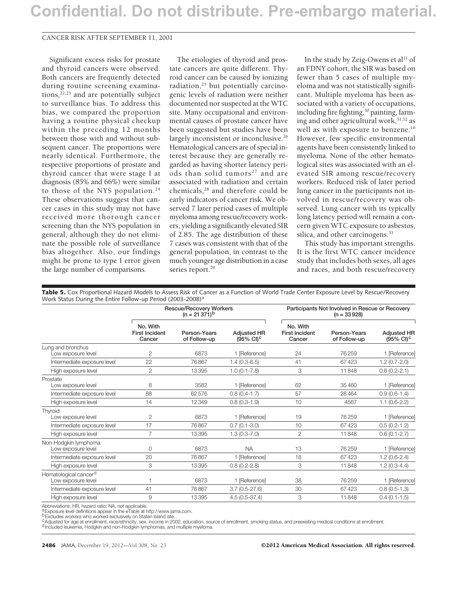Significant excess risks for prostate and thyroid cancers were observed. Both cancers are frequently detected during routine screening examinations, $22,23$  and are potentially subject to surveillance bias. To address this bias, we compared the proportion having a routine physical checkup within the preceding 12 months between those with and without subsequent cancer. The proportions were nearly identical. Furthermore, the respective proportions of prostate and thyroid cancer that were stage I at diagnosis (85% and 66%) were similar to those of the NYS population.<sup>24</sup> These observations suggest that cancer cases in this study may not have received more thorough cancer screening than the NYS population in general, although they do not eliminate the possible role of surveillance bias altogether. Also, our findings might be prone to type I error given the large number of comparisons.

The etiologies of thyroid and prostate cancers are quite different. Thyroid cancer can be caused by ionizing radiation, $25$  but potentially carcinogenic levels of radiation were neither documented nor suspected at the WTC site. Many occupational and environmental causes of prostate cancer have been suggested but studies have been largely inconsistent or inconclusive.<sup>26</sup> Hematological cancers are of special interest because they are generally regarded as having shorter latency periods than solid tumors<sup>27</sup> and are associated with radiation and certain chemicals,<sup>28</sup> and therefore could be early indicators of cancer risk. We observed 7 later period cases of multiple myeloma among rescue/recovery workers, yielding a significantly elevated SIR of 2.85. The age distribution of these 7 cases was consistent with that of the general population, in contrast to the much younger age distribution in a case series report.<sup>29</sup>

In the study by Zeig-Owens et al<sup>11</sup> of an FDNY cohort, the SIR was based on fewer than 5 cases of multiple myeloma and was not statistically significant. Multiple myeloma has been associated with a variety of occupations, including fire fighting,<sup>30</sup> painting, farming and other agricultural work, $31,32$  as well as with exposure to benzene.<sup>16</sup> However, few specific environmental agents have been consistently linked to myeloma. None of the other hematological sites was associated with an elevated SIR among rescue/recovery workers. Reduced risk of later period lung cancer in the participants not involved in rescue/recovery was observed. Lung cancer with its typically long latency period will remain a concern given WTC exposure to asbestos, silica, and other carcinogens.<sup>33</sup>

This study has important strengths. It is the first WTC cancer incidence study that includes both sexes, all ages and races, and both rescue/recovery

Table 5. Cox Proportional Hazard Models to Assess Risk of Cancer as a Function of World Trade Center Exposure Level by Rescue/Recovery Work Status During the Entire Follow-up Period (2003-2008)<sup>a</sup>

|                                                         |                                             | Rescue/Recovery Workers<br>$(n = 21371)^{b}$ |                                             | Participants Not Involved in Rescue or Recovery<br>$(n = 33928)$ |                              |                                             |  |
|---------------------------------------------------------|---------------------------------------------|----------------------------------------------|---------------------------------------------|------------------------------------------------------------------|------------------------------|---------------------------------------------|--|
|                                                         | No. With<br><b>First Incident</b><br>Cancer | Person-Years<br>of Follow-up                 | <b>Adiusted HR</b><br>$(95\% \text{ Cl})^c$ | No. With<br><b>First Incident</b><br>Cancer                      | Person-Years<br>of Follow-up | <b>Adiusted HR</b><br>$(95\% \text{ Cl})^c$ |  |
| Lung and bronchus<br>Low exposure level                 | 2                                           | 6873                                         | 1 [Reference]                               | 24                                                               | 76259                        | 1 [Reference]                               |  |
| Intermediate exposure level                             | 22                                          | 76867                                        | $1.4(0.3-6.5)$                              | 41                                                               | 67423                        | $1.2(0.7 - 2.0)$                            |  |
| High exposure level                                     | $\mathbf{2}$                                | 13395                                        | $1.0(0.1 - 7.8)$                            | 3                                                                | 11848                        | $0.6(0.2 - 2.1)$                            |  |
| Prostate<br>Low exposure level                          | 8                                           | 3582                                         | 1 [Reference]                               | 62                                                               | 35460                        | 1 [Reference]                               |  |
| Intermediate exposure level                             | 88                                          | 62576                                        | $0.8(0.4-1.7)$                              | 57                                                               | 28464                        | $0.9(0.6-1.4)$                              |  |
| High exposure level                                     | 14                                          | 12349                                        | $0.8(0.3-1.9)$                              | 10                                                               | 4567                         | $1.1(0.6-2.2)$                              |  |
| Thyroid<br>Low exposure level                           | 2                                           | 6873                                         | 1 [Reference]                               | 19                                                               | 76259                        | 1 [Reference]                               |  |
| Intermediate exposure level                             | 17                                          | 76867                                        | $0.7(0.1-3.0)$                              | 10                                                               | 67423                        | $0.5(0.2-1.2)$                              |  |
| High exposure level                                     | 7                                           | 13395                                        | $1.3(0.3 - 7.0)$                            | $\overline{2}$                                                   | 11848                        | $0.6(0.1 - 2.7)$                            |  |
| Non-Hodgkin lymphoma<br>Low exposure level              | 0                                           | 6873                                         | <b>NA</b>                                   | 13                                                               | 76259                        | 1 [Reference]                               |  |
| Intermediate exposure level                             | 20                                          | 76867                                        | 1 [Reference]                               | 18                                                               | 67423                        | $1.2(0.6-2.4)$                              |  |
| High exposure level                                     | 3                                           | 13395                                        | $0.8(0.2 - 2.8)$                            | 3                                                                | 11848                        | $1.2(0.3-4.4)$                              |  |
| Hematological cancer <sup>d</sup><br>Low exposure level |                                             | 6873                                         | 1 [Reference]                               | 38                                                               | 76259                        | 1 [Reference]                               |  |
| Intermediate exposure level                             | 41                                          | 76867                                        | $3.7(0.5-27.6)$                             | 30                                                               | 67423                        | $0.8(0.5-1.3)$                              |  |
| High exposure level                                     | 9                                           | 13395                                        | $4.5(0.5-37.4)$                             | 3                                                                | 11848                        | $0.4(0.1-1.5)$                              |  |

Abbreviations: HR, hazard ratio; NA, not applicable.

aExposure level definitions appear in the eTable at http://www.jama.com. b Excludes workers who worked exclusively on Staten Island site.

c Adjusted for age at enrollment, race/ethnicity, sex, income in 2002, education, source of enrollment, smoking status, and preexisting medical conditions at enrollment.<br><sup>d</sup> Included leukemia, Hodgkin and non-Hodgkin lymph

**2486** JAMA, December 19, 2012—Vol 308, No. 23 ©2012 American Medical Association. All rights reserved.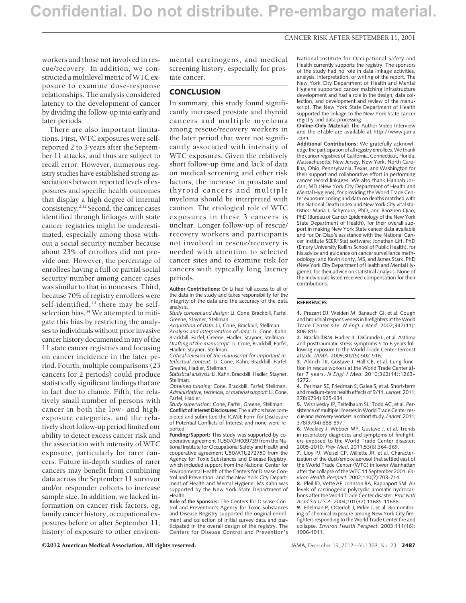workers and those not involved in rescue/recovery. In addition, we constructed a multilevel metric of WTC exposure to examine dose-response relationships. The analysis considered latency to the development of cancer by dividing the follow-up into early and later periods.

There are also important limitations. First, WTC exposures were selfreported 2 to 3 years after the September 11 attacks, and thus are subject to recall error. However, numerous registry studies have established strong associations between reported levels of exposures and specific health outcomes that display a high degree of internal consistency.2,12 Second, the cancer cases identified through linkages with state cancer registries might be underestimated, especially among those without a social security number because about 23% of enrollees did not provide one. However, the percentage of enrollees having a full or partial social security number among cancer cases was similar to that in noncases. Third, because 70% of registry enrollees were self-identified,<sup>13</sup> there may be selfselection bias.<sup>34</sup> We attempted to mitigate this bias by restricting the analyses to individuals without prior invasive cancer history documented in any of the 11 state cancer registries and focusing on cancer incidence in the later period. Fourth, multiple comparisons (23 cancers for 2 periods) could produce statistically significant findings that are in fact due to chance. Fifth, the relatively small number of persons with cancer in both the low- and highexposure categories, and the relatively short follow-up period limited our ability to detect excess cancer risk and the association with intensity of WTC exposure, particularly for rarer cancers. Future in-depth studies of rarer cancers may benefit from combining data across the September 11 survivor and/or responder cohorts to increase sample size. In addition, we lacked information on cancer risk factors, eg, family cancer history, occupational exposures before or after September 11, history of exposure to other environmental carcinogens, and medical screening history, especially for prostate cancer.

#### **CONCLUSION**

In summary, this study found significantly increased prostate and thyroid cancers and multiple myeloma among rescue/recovery workers in the later period that were not significantly associated with intensity of WTC exposures. Given the relatively short follow-up time and lack of data on medical screening and other risk factors, the increase in prostate and thyroid cancers and multiple myeloma should be interpreted with caution. The etiological role of WTC exposures in these 3 cancers is unclear. Longer follow-up of rescue/ recovery workers and participants not involved in rescue/recovery is needed with attention to selected cancer sites and to examine risk for cancers with typically long latency periods.

**Author Contributions:** Dr Li had full access to all of the data in the study and takes responsibility for the integrity of the data and the accuracy of the data analysis.

*Study concept and design:* Li, Cone, Brackbill, Farfel, Greene, Stayner, Stellman.

*Acquisition of data:* Li, Cone, Brackbill, Stellman. *Analysis and interpretation of data:* Li, Cone, Kahn, Brackbill, Farfel, Greene, Hadler, Stayner, Stellman. *Drafting of the manuscript:* Li, Cone, Brackbill, Farfel, Hadler, Stayner, Stellman.

*Critical revision of the manuscript for important intellectual content:* Li, Cone, Kahn, Brackbill, Farfel, Greene, Hadler, Stellman.

*Statistical analysis:* Li, Kahn, Brackbill, Hadler, Stayner, Stellman.

*Obtained funding:* Cone, Brackbill, Farfel, Stellman. *Administrative, technical, or material support:* Li, Cone, Farfel, Hadler.

*Study supervision:* Cone, Farfel, Greene, Stellman. **Conflict of Interest Disclosures:** The authors have completed and submitted the ICMJE Form for Disclosure of Potential Conflicts of Interest and none were reported.

**Funding/Support:** This study was supported by cooperative agreement 1U50/OH009739 from the National Institute for Occupational Safety and Health and cooperative agreement U50/ATU272750 from the Agency for Toxic Substances and Disease Registry, which included support from the National Center for Environmental Health of the Centers for Disease Control and Prevention, and the New York City Department of Health and Mental Hygiene. Ms Kahn was supported by the New York State Department of Health.

**Role of the Sponsors:** The Centers for Disease Control and Prevention's Agency for Toxic Substances and Disease Registry supported the original enrollment and collection of initial survey data and participated in the overall design of the registry. The Centers for Disease Control and Prevention's National Institute for Occupational Safety and Health currently supports the registry. The sponsors of the study had no role in data linkage activities, analysis, interpretation, or writing of the report. The New York City Department of Health and Mental Hygiene supported cancer matching infrastructure development and had a role in the design, data collection, and development and review of the manuscript. The New York State Department of Health supported the linkage to the New York State cancer registry and data processing.

**Online-Only Material:** The Author Video Interview and the eTable are available at http://www.jama .com.

**Additional Contributions:** We gratefully acknowledge the participation of all registry enrollees.We thank the cancer registries of California, Connecticut, Florida, Massachusetts, New Jersey, New York, North Carolina, Ohio, Pennsylvania, Texas, and Washington for their support and collaborative effort in performing cancer record linkages. We also thank Hannah Jordan, MD (New York City Department of Health and Mental Hygiene), for providing the World Trade Center exposure coding and data on deaths matched with the National Death Index and New York City vital statistics; Maria J. Schymura, PhD, and Baozhen Qiao, PhD (Bureau of Cancer Epidemiology of the New York State Department of Health), for their overall support in making New York State cancer data available and for Dr Qiao's assistance with the National Cancer Institute SEER\*Stat software; Jonathan Liff, PhD (Emory University Rollins School of Public Health), for his advice and guidance on cancer surveillance methodology; and Kevin Konty, MS, and James Stark, PhD (New York City Department of Health and Mental Hygiene), for their advice on statistical analysis. None of the individuals listed received compensation for their contributions.

#### **REFERENCES**

**1.** Prezant DJ, Weiden M, Banauch GI, et al. Cough and bronchial responsiveness in firefighters at the World Trade Center site. *N Engl J Med*. 2002;347(11): 806-815.

**2.** Brackbill RM, Hadler JL, DiGrande L, et al. Asthma and posttraumatic stress symptoms 5 to 6 years following exposure to the World Trade Center terrorist attack. *JAMA*. 2009;302(5):502-516.

**3.** Aldrich TK, Gustave J, Hall CB, et al. Lung function in rescue workers at the World Trade Center after 7 years. *N Engl J Med*. 2010;362(14):1263- 1272.

**4.** Perlman SE, Friedman S, Galea S, et al. Short-term and medium-term health effects of 9/11. *Lancet*. 2011; 378(9794):925-934.

**5.** Wisnivesky JP, Teitelbaum SL, Todd AC, et al. Persistence of multiple illnesses in World Trade Center rescue and recovery workers: a cohort study. *Lancet*. 2011; 378(9794):888-897.

**6.** Weakley J, Webber MP, Gustave J, et al. Trends in respiratory diagnoses and symptoms of firefighters exposed to the World Trade Center disaster: 2005-2010. *Prev Med*. 2011;53(6):364-369.

**7.** Lioy PJ, Weisel CP, Millette JR, et al. Characterization of the dust/smoke aerosol that settled east of the World Trade Center (WTC) in lower Manhattan after the collapse of the WTC 11 September 2001. *Environ Health Perspect*. 2002;110(7):703-714.

**8.** Pleil JD, Vette AF, Johnson BA, Rappaport SM. Air levels of carcinogenic polycyclic aromatic hydrocarbons after the World Trade Center disaster. *Proc Natl Acad SciUSA*. 2004;101(32):11685-11688.

**9.** Edelman P, Osterloh J, Pirkle J, et al. Biomonitoring of chemical exposure among New York City firefighters responding to the World Trade Center fire and collapse. *Environ Health Perspect*. 2003;111(16): 1906-1911.